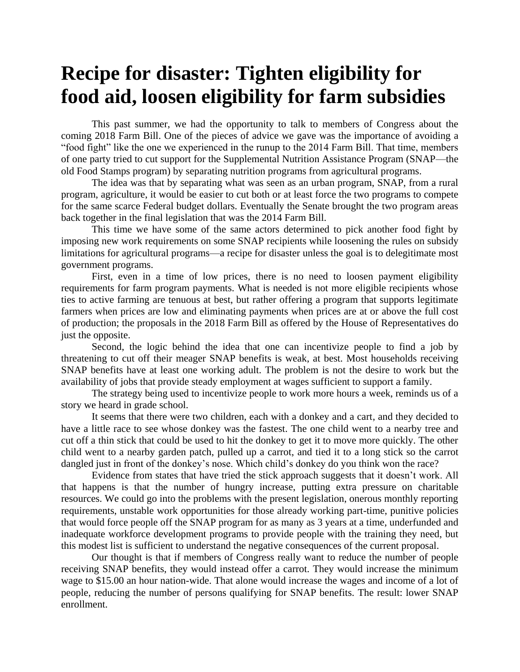## **Recipe for disaster: Tighten eligibility for food aid, loosen eligibility for farm subsidies**

This past summer, we had the opportunity to talk to members of Congress about the coming 2018 Farm Bill. One of the pieces of advice we gave was the importance of avoiding a "food fight" like the one we experienced in the runup to the 2014 Farm Bill. That time, members of one party tried to cut support for the Supplemental Nutrition Assistance Program (SNAP—the old Food Stamps program) by separating nutrition programs from agricultural programs.

The idea was that by separating what was seen as an urban program, SNAP, from a rural program, agriculture, it would be easier to cut both or at least force the two programs to compete for the same scarce Federal budget dollars. Eventually the Senate brought the two program areas back together in the final legislation that was the 2014 Farm Bill.

This time we have some of the same actors determined to pick another food fight by imposing new work requirements on some SNAP recipients while loosening the rules on subsidy limitations for agricultural programs—a recipe for disaster unless the goal is to delegitimate most government programs.

First, even in a time of low prices, there is no need to loosen payment eligibility requirements for farm program payments. What is needed is not more eligible recipients whose ties to active farming are tenuous at best, but rather offering a program that supports legitimate farmers when prices are low and eliminating payments when prices are at or above the full cost of production; the proposals in the 2018 Farm Bill as offered by the House of Representatives do just the opposite.

Second, the logic behind the idea that one can incentivize people to find a job by threatening to cut off their meager SNAP benefits is weak, at best. Most households receiving SNAP benefits have at least one working adult. The problem is not the desire to work but the availability of jobs that provide steady employment at wages sufficient to support a family.

The strategy being used to incentivize people to work more hours a week, reminds us of a story we heard in grade school.

It seems that there were two children, each with a donkey and a cart, and they decided to have a little race to see whose donkey was the fastest. The one child went to a nearby tree and cut off a thin stick that could be used to hit the donkey to get it to move more quickly. The other child went to a nearby garden patch, pulled up a carrot, and tied it to a long stick so the carrot dangled just in front of the donkey's nose. Which child's donkey do you think won the race?

Evidence from states that have tried the stick approach suggests that it doesn't work. All that happens is that the number of hungry increase, putting extra pressure on charitable resources. We could go into the problems with the present legislation, onerous monthly reporting requirements, unstable work opportunities for those already working part-time, punitive policies that would force people off the SNAP program for as many as 3 years at a time, underfunded and inadequate workforce development programs to provide people with the training they need, but this modest list is sufficient to understand the negative consequences of the current proposal.

Our thought is that if members of Congress really want to reduce the number of people receiving SNAP benefits, they would instead offer a carrot. They would increase the minimum wage to \$15.00 an hour nation-wide. That alone would increase the wages and income of a lot of people, reducing the number of persons qualifying for SNAP benefits. The result: lower SNAP enrollment.